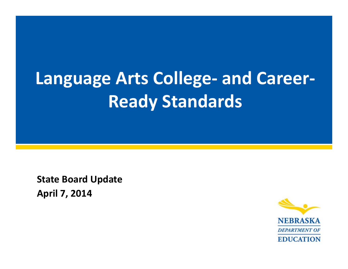# **Language Arts College‐ and Career‐ Ready Standards**

**State Board Update April 7, 2014**

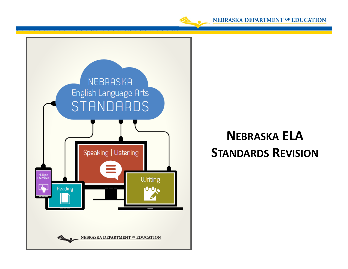



### **NEBRASKA ELA STANDARDS REVISION**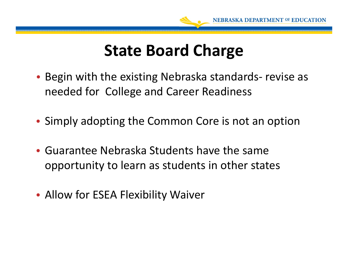

### **State Board Charge**

- Begin with the existing Nebraska standards‐ revise as needed for College and Career Readiness
- Simply adopting the Common Core is not an option
- Guarantee Nebraska Students have the same opportunity to learn as students in other states
- Allow for ESEA Flexibility Waiver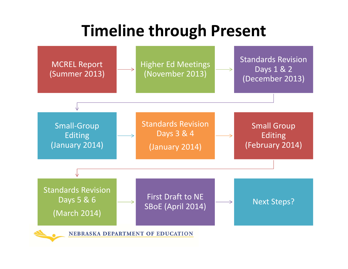## **Timeline through Present**

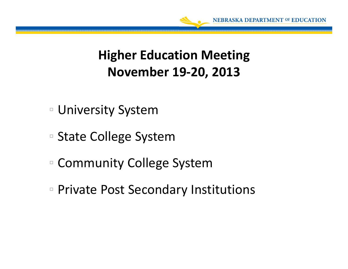

### **Higher Education Meeting November 19‐20, 2013**

- University System
- State College System
- Community College System
- Private Post Secondary Institutions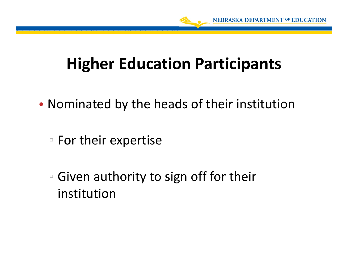

## **Higher Education Participants**

- Nominated by the heads of their institution
	- For their expertise
	- Given authority to sign off for their institution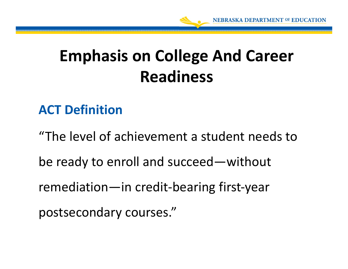## **Emphasis on College And Career Readiness**

### **ACT Definition**

"The level of achievement <sup>a</sup> student needs tobe ready to enroll and succeed—without remediation—in credit‐bearing first‐year postsecondary courses."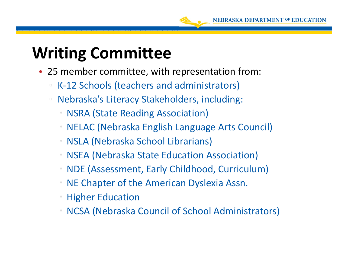

### **Writing Committee**

- 25 member committee, with representation from:
	- $\Box$ □ K-12 Schools (teachers and administrators)
	- $\Box$  Nebraska's Literacy Stakeholders, including:
		- NSRA (State Reading Association)
		- 0 NELAC (Nebraska English Language Arts Council)
		- NSLA (Nebraska School Librarians)
		- 0 NSEA (Nebraska State Education Association)
		- NDE (Assessment, Early Childhood, Curriculum)
		- NE Chapter of the American Dyslexia Assn.
		- 0 Higher Education
		- NCSA (Nebraska Council of School Administrators)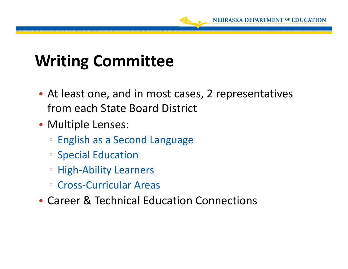

### **Writing Committee**

- At least one, and in most cases, 2 representatives from each State Board District
- Multiple Lenses:
	- English as <sup>a</sup> Second Language
	- Special Education
	- High‐Ability Learners
	- Cross‐Curricular Areas
- Career & Technical Education Connections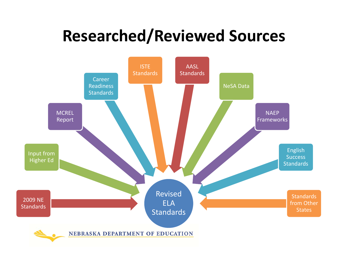## **Researched/Reviewed Sources**

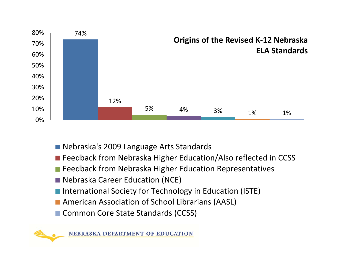

- Nebraska's 2009 Language Arts Standards
- Feedback from Nebraska Higher Education/Also reflected in CCSS
- Feedback from Nebraska Higher Education Representatives
- Nebraska Career Education (NCE)
- International Society for Technology in Education (ISTE)
- American Association of School Librarians (AASL)
- Common Core State Standards (CCSS)



NEBRASKA DEPARTMENT OF EDUCATION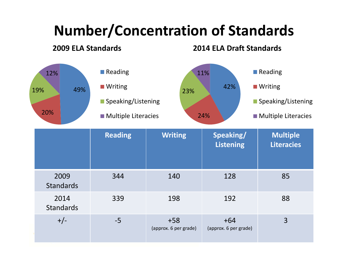### **Number/Concentration of Standards**

#### **2009 ELA Standards**

+/‐ ‐5 +58

#### **2014 ELA Draft Standards**

+64(approx. 6 per grade) 3



(approx. 6 per grade)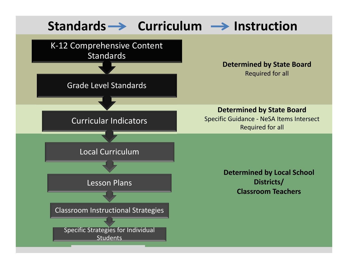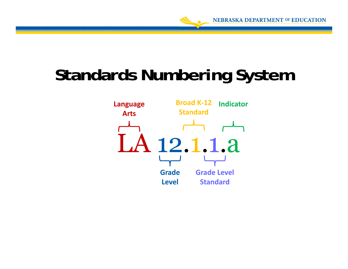

# **Standards Numbering System**

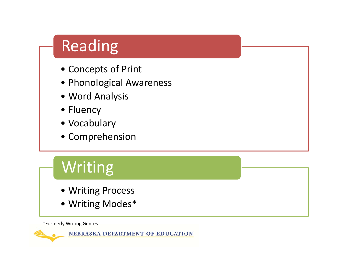### Reading

- Concepts of Print
- Phonological Awareness
- Word Analysis
- Fluency
- Vocabulary
- Comprehension

### **Writing**

- Writing Process
- Writing Modes\*

\*Formerly Writing Genres

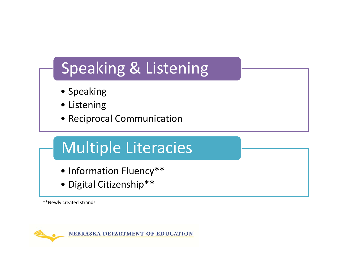### Speaking & Listening

- Speaking
- Listening
- Reciprocal Communication

### Multiple Literacies

- Information Fluency\*\*
- Digital Citizenship\*\*

\*\*Newly created strands



NEBRASKA DEPARTMENT OF EDUCATION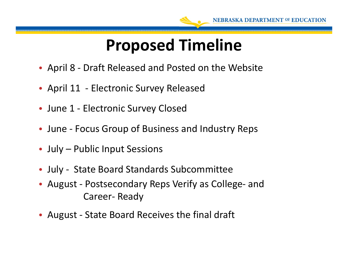

### **Proposed Timeline**

- April 8 ‐ Draft Released and Posted on the Website
- April 11 Electronic Survey Released
- June 1 ‐ Electronic Survey Closed
- June ‐ Focus Group of Business and Industry Reps
- July Public Input Sessions
- July ‐ State Board Standards Subcommittee
- August ‐ Postsecondary Reps Verify as College‐ and Career‐ Ready
- August ‐ State Board Receives the final draft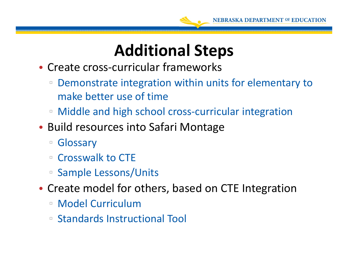

### **Additional Steps**

- Create cross‐curricular frameworks
	- ▫ Demonstrate integration within units for elementary to make better use of time
	- Middle and high school cross‐curricular integration
- Build resources into Safari Montage
	- □ Glossary
	- □ Crosswalk to CTE
	- Sample Lessons/Units
- Create model for others, based on CTE Integration
	- Model Curriculum
	- Standards Instructional Tool